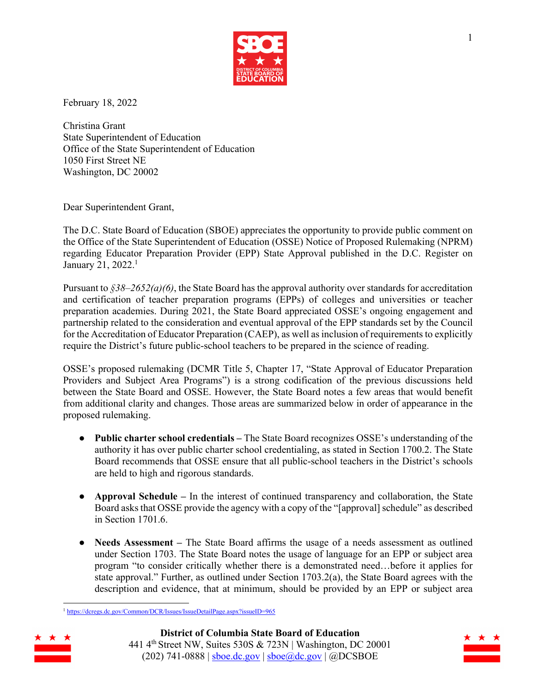

February 18, 2022

Christina Grant State Superintendent of Education Office of the State Superintendent of Education 1050 First Street NE Washington, DC 20002

Dear Superintendent Grant,

The D.C. State Board of Education (SBOE) appreciates the opportunity to provide public comment on the Office of the State Superintendent of Education (OSSE) Notice of Proposed Rulemaking (NPRM) regarding Educator Preparation Provider (EPP) State Approval published in the D.C. Register on January 21, 2022.<sup>1</sup>

Pursuant to *§38–2652(a)(6)*, the State Board has the approval authority over standards for accreditation and certification of teacher preparation programs (EPPs) of colleges and universities or teacher preparation academies. During 2021, the State Board appreciated OSSE's ongoing engagement and partnership related to the consideration and eventual approval of the EPP standards set by the Council for the Accreditation of Educator Preparation (CAEP), as well as inclusion of requirements to explicitly require the District's future public-school teachers to be prepared in the science of reading.

OSSE's proposed rulemaking (DCMR Title 5, Chapter 17, "State Approval of Educator Preparation Providers and Subject Area Programs") is a strong codification of the previous discussions held between the State Board and OSSE. However, the State Board notes a few areas that would benefit from additional clarity and changes. Those areas are summarized below in order of appearance in the proposed rulemaking.

- **Public charter school credentials –** The State Board recognizes OSSE's understanding of the authority it has over public charter school credentialing, as stated in Section 1700.2. The State Board recommends that OSSE ensure that all public-school teachers in the District's schools are held to high and rigorous standards.
- **Approval Schedule –** In the interest of continued transparency and collaboration, the State Board asks that OSSE provide the agency with a copy of the "[approval] schedule" as described in Section 1701.6.
- **Needs Assessment** The State Board affirms the usage of a needs assessment as outlined under Section 1703. The State Board notes the usage of language for an EPP or subject area program "to consider critically whether there is a demonstrated need…before it applies for state approval." Further, as outlined under Section 1703.2(a), the State Board agrees with the description and evidence, that at minimum, should be provided by an EPP or subject area

<sup>1</sup> https://dcregs.dc.gov/Common/DCR/Issues/IssueDetailPage.aspx?issueID=965

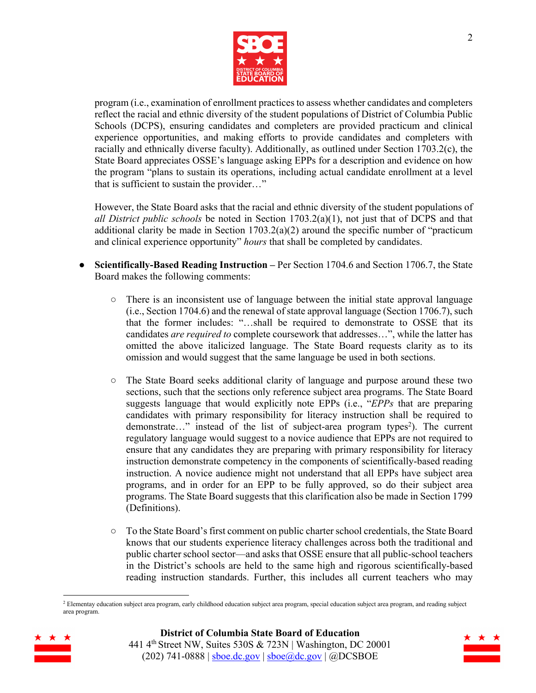

program (i.e., examination of enrollment practices to assess whether candidates and completers reflect the racial and ethnic diversity of the student populations of District of Columbia Public Schools (DCPS), ensuring candidates and completers are provided practicum and clinical experience opportunities, and making efforts to provide candidates and completers with racially and ethnically diverse faculty). Additionally, as outlined under Section 1703.2(c), the State Board appreciates OSSE's language asking EPPs for a description and evidence on how the program "plans to sustain its operations, including actual candidate enrollment at a level that is sufficient to sustain the provider…"

However, the State Board asks that the racial and ethnic diversity of the student populations of *all District public schools* be noted in Section 1703.2(a)(1), not just that of DCPS and that additional clarity be made in Section  $1703.2(a)(2)$  around the specific number of "practicum and clinical experience opportunity" *hours* that shall be completed by candidates.

- **Scientifically-Based Reading Instruction –** Per Section 1704.6 and Section 1706.7, the State Board makes the following comments:
	- $\circ$  There is an inconsistent use of language between the initial state approval language (i.e., Section 1704.6) and the renewal of state approval language (Section 1706.7), such that the former includes: "…shall be required to demonstrate to OSSE that its candidates *are required to* complete coursework that addresses…", while the latter has omitted the above italicized language. The State Board requests clarity as to its omission and would suggest that the same language be used in both sections.
	- The State Board seeks additional clarity of language and purpose around these two sections, such that the sections only reference subject area programs. The State Board suggests language that would explicitly note EPPs (i.e., "*EPPs* that are preparing candidates with primary responsibility for literacy instruction shall be required to demonstrate..." instead of the list of subject-area program types<sup>2</sup>). The current regulatory language would suggest to a novice audience that EPPs are not required to ensure that any candidates they are preparing with primary responsibility for literacy instruction demonstrate competency in the components of scientifically-based reading instruction. A novice audience might not understand that all EPPs have subject area programs, and in order for an EPP to be fully approved, so do their subject area programs. The State Board suggests that this clarification also be made in Section 1799 (Definitions).
	- To the State Board's first comment on public charter school credentials, the State Board knows that our students experience literacy challenges across both the traditional and public charter school sector—and asks that OSSE ensure that all public-school teachers in the District's schools are held to the same high and rigorous scientifically-based reading instruction standards. Further, this includes all current teachers who may

<sup>&</sup>lt;sup>2</sup> Elementay education subject area program, early childhood education subject area program, special education subject area program, and reading subject area program.